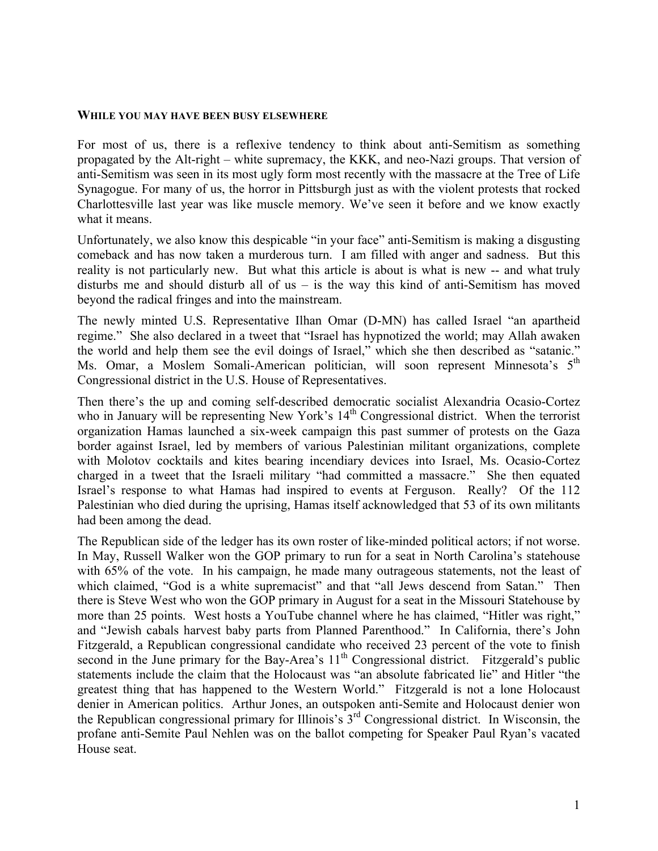## **WHILE YOU MAY HAVE BEEN BUSY ELSEWHERE**

For most of us, there is a reflexive tendency to think about anti-Semitism as something propagated by the Alt-right – white supremacy, the KKK, and neo-Nazi groups. That version of anti-Semitism was seen in its most ugly form most recently with the massacre at the Tree of Life Synagogue. For many of us, the horror in Pittsburgh just as with the violent protests that rocked Charlottesville last year was like muscle memory. We've seen it before and we know exactly what it means.

Unfortunately, we also know this despicable "in your face" anti-Semitism is making a disgusting comeback and has now taken a murderous turn. I am filled with anger and sadness. But this reality is not particularly new. But what this article is about is what is new -- and what truly disturbs me and should disturb all of us – is the way this kind of anti-Semitism has moved beyond the radical fringes and into the mainstream.

The newly minted U.S. Representative Ilhan Omar (D-MN) has called Israel "an apartheid regime." She also declared in a tweet that "Israel has hypnotized the world; may Allah awaken the world and help them see the evil doings of Israel," which she then described as "satanic." Ms. Omar, a Moslem Somali-American politician, will soon represent Minnesota's 5<sup>th</sup> Congressional district in the U.S. House of Representatives.

Then there's the up and coming self-described democratic socialist Alexandria Ocasio-Cortez who in January will be representing New York's  $14<sup>th</sup>$  Congressional district. When the terrorist organization Hamas launched a six-week campaign this past summer of protests on the Gaza border against Israel, led by members of various Palestinian militant organizations, complete with Molotov cocktails and kites bearing incendiary devices into Israel, Ms. Ocasio-Cortez charged in a tweet that the Israeli military "had committed a massacre." She then equated Israel's response to what Hamas had inspired to events at Ferguson. Really? Of the 112 Palestinian who died during the uprising, Hamas itself acknowledged that 53 of its own militants had been among the dead.

The Republican side of the ledger has its own roster of like-minded political actors; if not worse. In May, Russell Walker won the GOP primary to run for a seat in North Carolina's statehouse with 65% of the vote. In his campaign, he made many outrageous statements, not the least of which claimed, "God is a white supremacist" and that "all Jews descend from Satan." Then there is Steve West who won the GOP primary in August for a seat in the Missouri Statehouse by more than 25 points. West hosts a YouTube channel where he has claimed, "Hitler was right," and "Jewish cabals harvest baby parts from Planned Parenthood." In California, there's John Fitzgerald, a Republican congressional candidate who received 23 percent of the vote to finish second in the June primary for the Bay-Area's  $11<sup>th</sup>$  Congressional district. Fitzgerald's public statements include the claim that the Holocaust was "an absolute fabricated lie" and Hitler "the greatest thing that has happened to the Western World." Fitzgerald is not a lone Holocaust denier in American politics. Arthur Jones, an outspoken anti-Semite and Holocaust denier won the Republican congressional primary for Illinois's 3rd Congressional district. In Wisconsin, the profane anti-Semite Paul Nehlen was on the ballot competing for Speaker Paul Ryan's vacated House seat.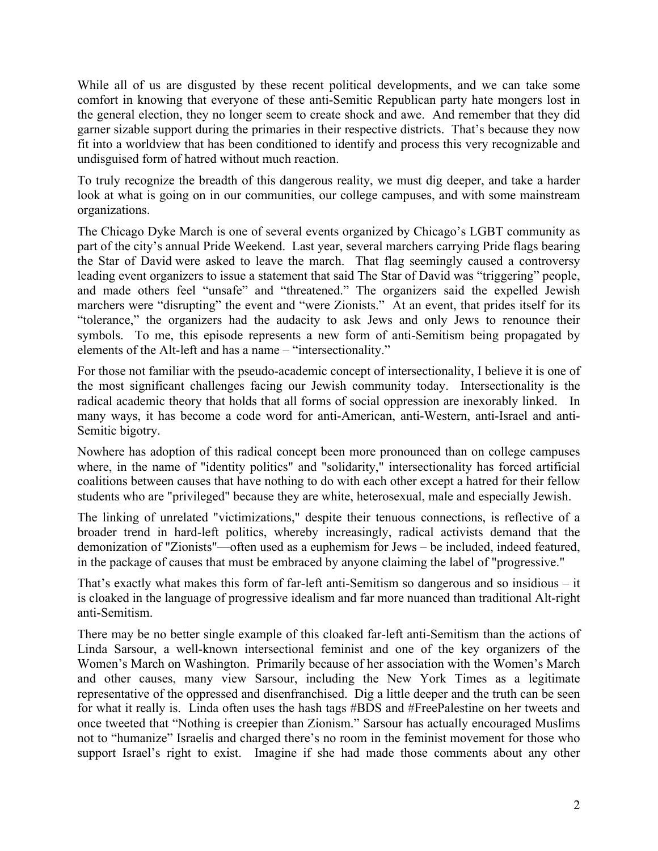While all of us are disgusted by these recent political developments, and we can take some comfort in knowing that everyone of these anti-Semitic Republican party hate mongers lost in the general election, they no longer seem to create shock and awe. And remember that they did garner sizable support during the primaries in their respective districts. That's because they now fit into a worldview that has been conditioned to identify and process this very recognizable and undisguised form of hatred without much reaction.

To truly recognize the breadth of this dangerous reality, we must dig deeper, and take a harder look at what is going on in our communities, our college campuses, and with some mainstream organizations.

The Chicago Dyke March is one of several events organized by Chicago's LGBT community as part of the city's annual Pride Weekend. Last year, several marchers carrying Pride flags bearing the Star of David were asked to leave the march. That flag seemingly caused a controversy leading event organizers to issue a statement that said The Star of David was "triggering" people, and made others feel "unsafe" and "threatened." The organizers said the expelled Jewish marchers were "disrupting" the event and "were Zionists." At an event, that prides itself for its "tolerance," the organizers had the audacity to ask Jews and only Jews to renounce their symbols. To me, this episode represents a new form of anti-Semitism being propagated by elements of the Alt-left and has a name – "intersectionality."

For those not familiar with the pseudo-academic concept of intersectionality, I believe it is one of the most significant challenges facing our Jewish community today. Intersectionality is the radical academic theory that holds that all forms of social oppression are inexorably linked. In many ways, it has become a code word for anti-American, anti-Western, anti-Israel and anti-Semitic bigotry.

Nowhere has adoption of this radical concept been more pronounced than on college campuses where, in the name of "identity politics" and "solidarity," intersectionality has forced artificial coalitions between causes that have nothing to do with each other except a hatred for their fellow students who are "privileged" because they are white, heterosexual, male and especially Jewish.

The linking of unrelated "victimizations," despite their tenuous connections, is reflective of a broader trend in hard-left politics, whereby increasingly, radical activists demand that the demonization of "Zionists"—often used as a euphemism for Jews – be included, indeed featured, in the package of causes that must be embraced by anyone claiming the label of "progressive."

That's exactly what makes this form of far-left anti-Semitism so dangerous and so insidious – it is cloaked in the language of progressive idealism and far more nuanced than traditional Alt-right anti-Semitism.

There may be no better single example of this cloaked far-left anti-Semitism than the actions of Linda Sarsour, a well-known intersectional feminist and one of the key organizers of the Women's March on Washington. Primarily because of her association with the Women's March and other causes, many view Sarsour, including the New York Times as a legitimate representative of the oppressed and disenfranchised. Dig a little deeper and the truth can be seen for what it really is. Linda often uses the hash tags #BDS and #FreePalestine on her tweets and once tweeted that "Nothing is creepier than Zionism." Sarsour has actually encouraged Muslims not to "humanize" Israelis and charged there's no room in the feminist movement for those who support Israel's right to exist. Imagine if she had made those comments about any other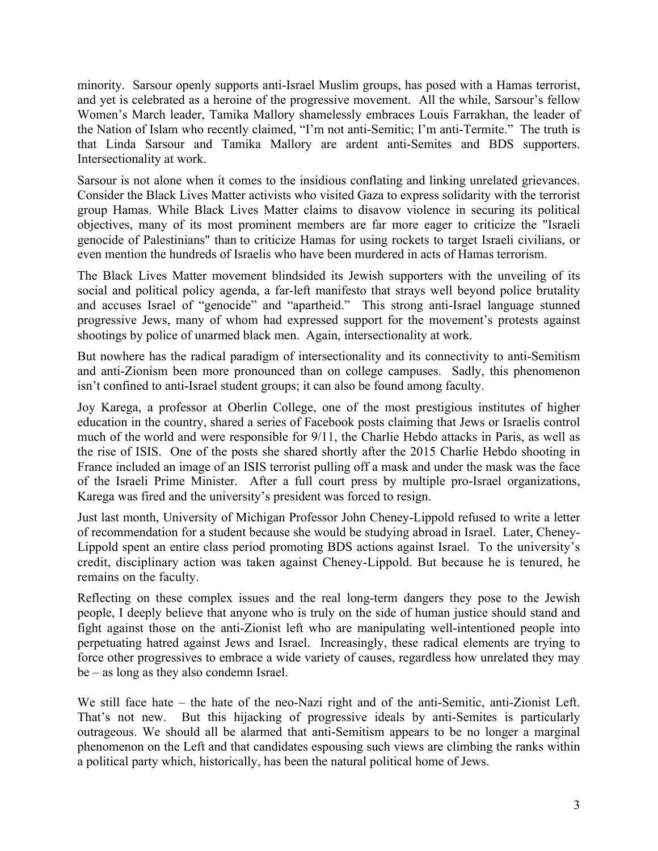minority. Sarsour openly supports anti-Israel Muslim groups, has posed with a Hamas terrorist, and yet is celebrated as a heroine of the progressive movement. All the while, Sarsour's fellow Women's March leader, Tamika Mallory shamelessly embraces Louis Farrakhan, the leader of the Nation of Islam who recently claimed, "I'm not anti-Semitic; I'm anti-Termite." The truth is that Linda Sarsour and Tamika Mallory are ardent anti-Semites and BDS supporters. Intersectionality at work.

Sarsour is not alone when it comes to the insidious conflating and linking unrelated grievances. Consider the Black Lives Matter activists who visited Gaza to express solidarity with the terrorist group Hamas. While Black Lives Matter claims to disavow violence in securing its political objectives, many of its most prominent members are far more eager to criticize the "Israeli genocide of Palestinians" than to criticize Hamas for using rockets to target Israeli civilians, or even mention the hundreds of Israelis who have been murdered in acts of Hamas terrorism.

The Black Lives Matter movement blindsided its Jewish supporters with the unveiling of its social and political policy agenda, a far-left manifesto that strays well beyond police brutality and accuses Israel of "genocide" and "apartheid." This strong anti-Israel language stunned progressive Jews, many of whom had expressed support for the movement's protests against shootings by police of unarmed black men. Again, intersectionality at work.

But nowhere has the radical paradigm of intersectionality and its connectivity to anti-Semitism and anti-Zionism been more pronounced than on college campuses. Sadly, this phenomenon isn't confined to anti-Israel student groups; it can also be found among faculty.

Joy Karega, a professor at Oberlin College, one of the most prestigious institutes of higher education in the country, shared a series of Facebook posts claiming that Jews or Israelis control much of the world and were responsible for 9/11, the Charlie Hebdo attacks in Paris, as well as the rise of ISIS. One of the posts she shared shortly after the 2015 Charlie Hebdo shooting in France included an image of an ISIS terrorist pulling off a mask and under the mask was the face of the Israeli Prime Minister. After a full court press by multiple pro-Israel organizations, Karega was fired and the university's president was forced to resign.

Just last month, University of Michigan Professor John Cheney-Lippold refused to write a letter of recommendation for a student because she would be studying abroad in Israel. Later, Cheney-Lippold spent an entire class period promoting BDS actions against Israel. To the university's credit, disciplinary action was taken against Cheney-Lippold. But because he is tenured, he remains on the faculty.

Reflecting on these complex issues and the real long-term dangers they pose to the Jewish people, I deeply believe that anyone who is truly on the side of human justice should stand and fight against those on the anti-Zionist left who are manipulating well-intentioned people into perpetuating hatred against Jews and Israel. Increasingly, these radical elements are trying to force other progressives to embrace a wide variety of causes, regardless how unrelated they may be – as long as they also condemn Israel.

We still face hate – the hate of the neo-Nazi right and of the anti-Semitic, anti-Zionist Left. That's not new. But this hijacking of progressive ideals by anti-Semites is particularly outrageous. We should all be alarmed that anti-Semitism appears to be no longer a marginal phenomenon on the Left and that candidates espousing such views are climbing the ranks within a political party which, historically, has been the natural political home of Jews.